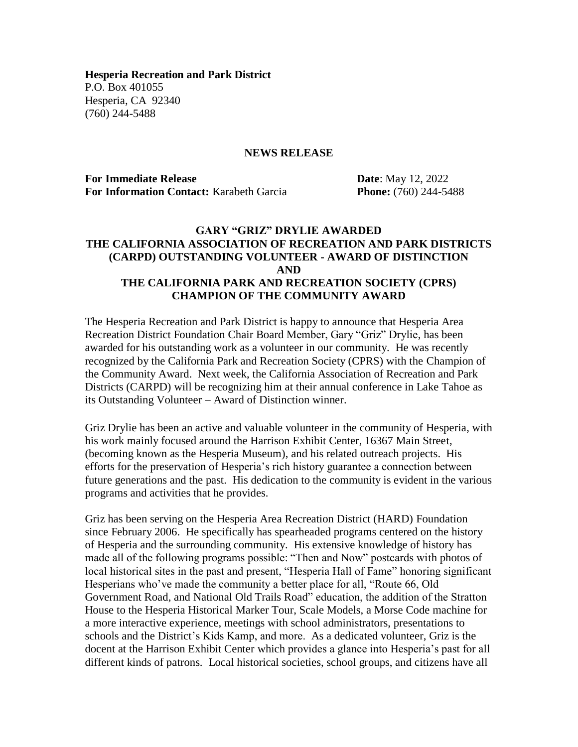**Hesperia Recreation and Park District** P.O. Box 401055 Hesperia, CA 92340 (760) 244-5488

## **NEWS RELEASE**

**For Immediate Release Date**: May 12, 2022 **For Information Contact:** Karabeth Garcia **Phone:** (760) 244-5488

## **GARY "GRIZ" DRYLIE AWARDED THE CALIFORNIA ASSOCIATION OF RECREATION AND PARK DISTRICTS (CARPD) OUTSTANDING VOLUNTEER - AWARD OF DISTINCTION AND THE CALIFORNIA PARK AND RECREATION SOCIETY (CPRS) CHAMPION OF THE COMMUNITY AWARD**

The Hesperia Recreation and Park District is happy to announce that Hesperia Area Recreation District Foundation Chair Board Member, Gary "Griz" Drylie, has been awarded for his outstanding work as a volunteer in our community. He was recently recognized by the California Park and Recreation Society (CPRS) with the Champion of the Community Award. Next week, the California Association of Recreation and Park Districts (CARPD) will be recognizing him at their annual conference in Lake Tahoe as its Outstanding Volunteer – Award of Distinction winner.

Griz Drylie has been an active and valuable volunteer in the community of Hesperia, with his work mainly focused around the Harrison Exhibit Center, 16367 Main Street, (becoming known as the Hesperia Museum), and his related outreach projects. His efforts for the preservation of Hesperia's rich history guarantee a connection between future generations and the past. His dedication to the community is evident in the various programs and activities that he provides.

Griz has been serving on the Hesperia Area Recreation District (HARD) Foundation since February 2006. He specifically has spearheaded programs centered on the history of Hesperia and the surrounding community. His extensive knowledge of history has made all of the following programs possible: "Then and Now" postcards with photos of local historical sites in the past and present, "Hesperia Hall of Fame" honoring significant Hesperians who've made the community a better place for all, "Route 66, Old Government Road, and National Old Trails Road" education, the addition of the Stratton House to the Hesperia Historical Marker Tour, Scale Models, a Morse Code machine for a more interactive experience, meetings with school administrators, presentations to schools and the District's Kids Kamp, and more. As a dedicated volunteer, Griz is the docent at the Harrison Exhibit Center which provides a glance into Hesperia's past for all different kinds of patrons. Local historical societies, school groups, and citizens have all